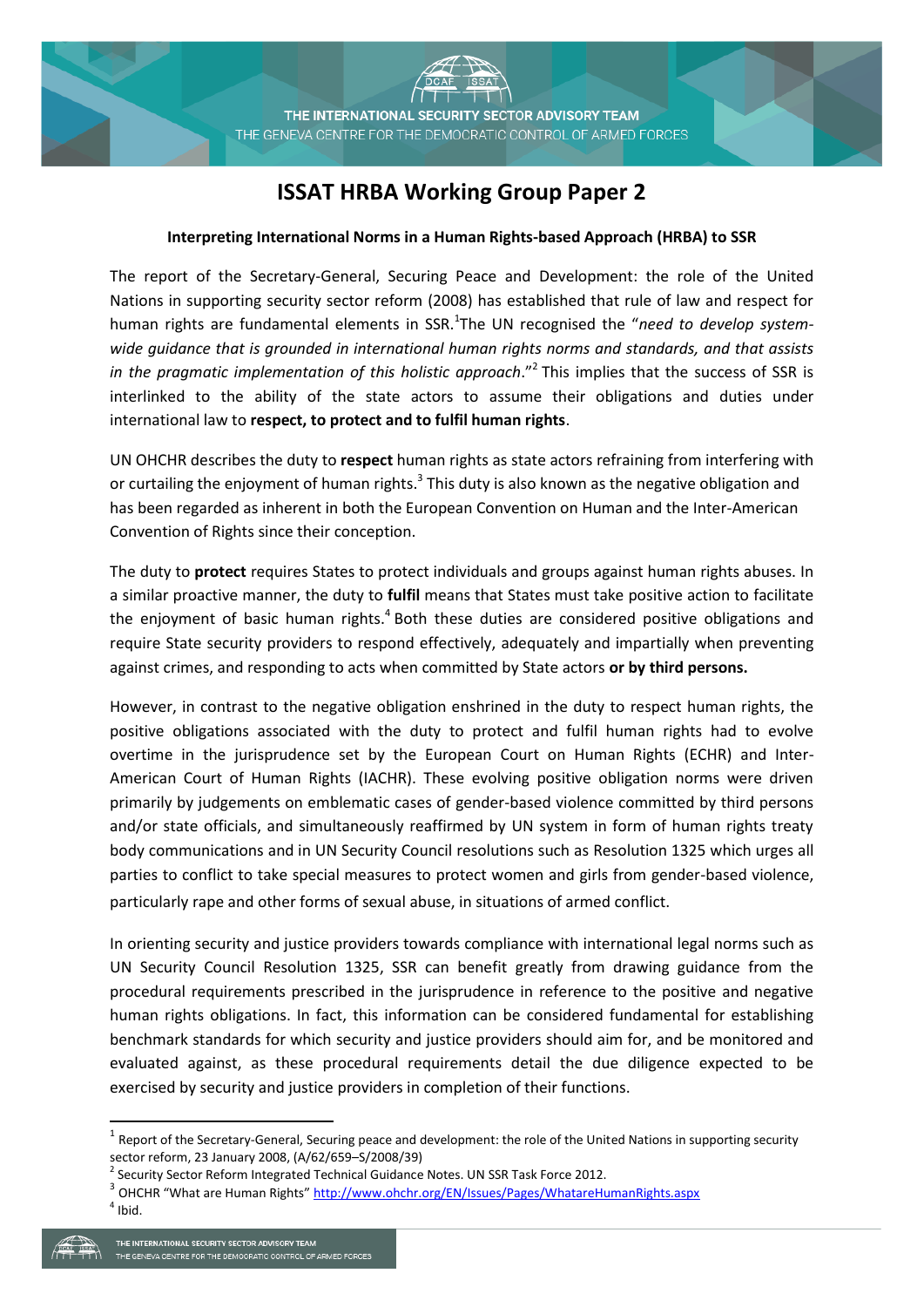**ISSAT** 

# **ISSAT HRBA Working Group Paper 2**

## **Interpreting International Norms in a Human Rights-based Approach (HRBA) to SSR**

The report of the Secretary-General, Securing Peace and Development: the role of the United Nations in supporting security sector reform (2008) has established that rule of law and respect for human rights are fundamental elements in SSR.<sup>1</sup>The UN recognised the "need to develop system*wide guidance that is grounded in international human rights norms and standards, and that assists*  in the pragmatic implementation of this holistic approach."<sup>2</sup> This implies that the success of SSR is interlinked to the ability of the state actors to assume their obligations and duties under international law to **respect, to protect and to fulfil human rights**.

UN OHCHR describes the duty to **respect** human rights as state actors refraining from interfering with or curtailing the enjoyment of human rights.<sup>3</sup> This duty is also known as the negative obligation and has been regarded as inherent in both the European Convention on Human and the Inter-American Convention of Rights since their conception.

The duty to **protect** requires States to protect individuals and groups against human rights abuses. In a similar proactive manner, the duty to **fulfil** means that States must take positive action to facilitate the enjoyment of basic human rights.<sup>4</sup> Both these duties are considered positive obligations and require State security providers to respond effectively, adequately and impartially when preventing against crimes, and responding to acts when committed by State actors **or by third persons.**

However, in contrast to the negative obligation enshrined in the duty to respect human rights, the positive obligations associated with the duty to protect and fulfil human rights had to evolve overtime in the jurisprudence set by the European Court on Human Rights (ECHR) and Inter-American Court of Human Rights (IACHR). These evolving positive obligation norms were driven primarily by judgements on emblematic cases of gender-based violence committed by third persons and/or state officials, and simultaneously reaffirmed by UN system in form of human rights treaty body communications and in UN Security Council resolutions such as Resolution 1325 which urges all parties to conflict to take special measures to protect women and girls from gender-based violence, particularly rape and other forms of sexual abuse, in situations of armed conflict.

In orienting security and justice providers towards compliance with international legal norms such as UN Security Council Resolution 1325, SSR can benefit greatly from drawing guidance from the procedural requirements prescribed in the jurisprudence in reference to the positive and negative human rights obligations. In fact, this information can be considered fundamental for establishing benchmark standards for which security and justice providers should aim for, and be monitored and evaluated against, as these procedural requirements detail the due diligence expected to be exercised by security and justice providers in completion of their functions.

**.** 

 $^1$  Report of the Secretary-General, Securing peace and development: the role of the United Nations in supporting security sector reform, 23 January 2008, (A/62/659–S/2008/39)

<sup>&</sup>lt;sup>2</sup> Security Sector Reform Integrated Technical Guidance Notes. UN SSR Task Force 2012.

<sup>&</sup>lt;sup>3</sup> OHCHR "What are Human Rights" <http://www.ohchr.org/EN/Issues/Pages/WhatareHumanRights.aspx>

 $<sup>4</sup>$  Ibid.</sup>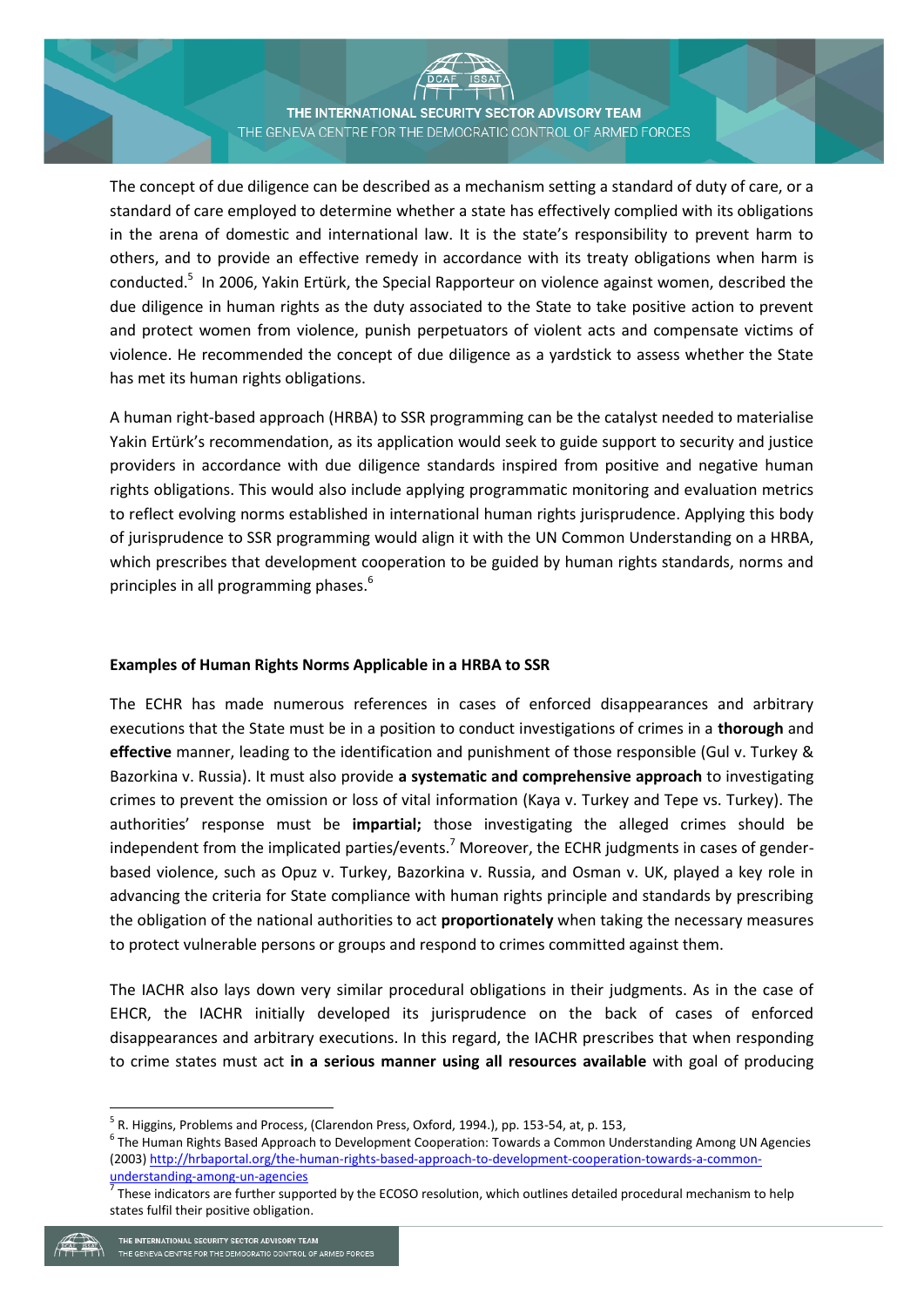THE INTERNATIONAL SECURITY SECTOR ADVISORY TEAM THE GENEVA CENTRE FOR THE DEMOCRATIC CONTROL OF ARMED FORCES

**SSAT** 

The concept of due diligence can be described as a mechanism setting a standard of duty of care, or a standard of care employed to determine whether a state has effectively complied with its obligations in the arena of domestic and international law. It is the state's responsibility to prevent harm to others, and to provide an effective remedy in accordance with its treaty obligations when harm is conducted.<sup>5</sup> In 2006, Yakin Ertürk, the Special Rapporteur on violence against women, described the due diligence in human rights as the duty associated to the State to take positive action to prevent and protect women from violence, punish perpetuators of violent acts and compensate victims of violence. He recommended the concept of due diligence as a yardstick to assess whether the State has met its human rights obligations.

A human right-based approach (HRBA) to SSR programming can be the catalyst needed to materialise Yakin Ertürk's recommendation, as its application would seek to guide support to security and justice providers in accordance with due diligence standards inspired from positive and negative human rights obligations. This would also include applying programmatic monitoring and evaluation metrics to reflect evolving norms established in international human rights jurisprudence. Applying this body of jurisprudence to SSR programming would align it with the UN Common Understanding on a HRBA, which prescribes that development cooperation to be guided by human rights standards, norms and principles in all programming phases.<sup>6</sup>

### **Examples of Human Rights Norms Applicable in a HRBA to SSR**

The ECHR has made numerous references in cases of enforced disappearances and arbitrary executions that the State must be in a position to conduct investigations of crimes in a **thorough** and **effective** manner, leading to the identification and punishment of those responsible (Gul v. Turkey & Bazorkina v. Russia). It must also provide **a systematic and comprehensive approach** to investigating crimes to prevent the omission or loss of vital information (Kaya v. Turkey and Tepe vs. Turkey). The authorities' response must be **impartial;** those investigating the alleged crimes should be independent from the implicated parties/events.<sup>7</sup> Moreover, the ECHR judgments in cases of genderbased violence, such as Opuz v. Turkey, Bazorkina v. Russia, and Osman v. UK, played a key role in advancing the criteria for State compliance with human rights principle and standards by prescribing the obligation of the national authorities to act **proportionately** when taking the necessary measures to protect vulnerable persons or groups and respond to crimes committed against them.

The IACHR also lays down very similar procedural obligations in their judgments. As in the case of EHCR, the IACHR initially developed its jurisprudence on the back of cases of enforced disappearances and arbitrary executions. In this regard, the IACHR prescribes that when responding to crime states must act **in a serious manner using all resources available** with goal of producing

1

<sup>&</sup>lt;sup>5</sup> R. Higgins, Problems and Process, (Clarendon Press, Oxford, 1994.), pp. 153-54, at, p. 153,

<sup>&</sup>lt;sup>6</sup> The Human Rights Based Approach to Development Cooperation: Towards a Common Understanding Among UN Agencies (2003[\) http://hrbaportal.org/the-human-rights-based-approach-to-development-cooperation-towards-a-common](http://hrbaportal.org/the-human-rights-based-approach-to-development-cooperation-towards-a-common-understanding-among-un-agencies)[understanding-among-un-agencies](http://hrbaportal.org/the-human-rights-based-approach-to-development-cooperation-towards-a-common-understanding-among-un-agencies)

<sup>7</sup> These indicators are further supported by the ECOSO resolution, which outlines detailed procedural mechanism to help states fulfil their positive obligation.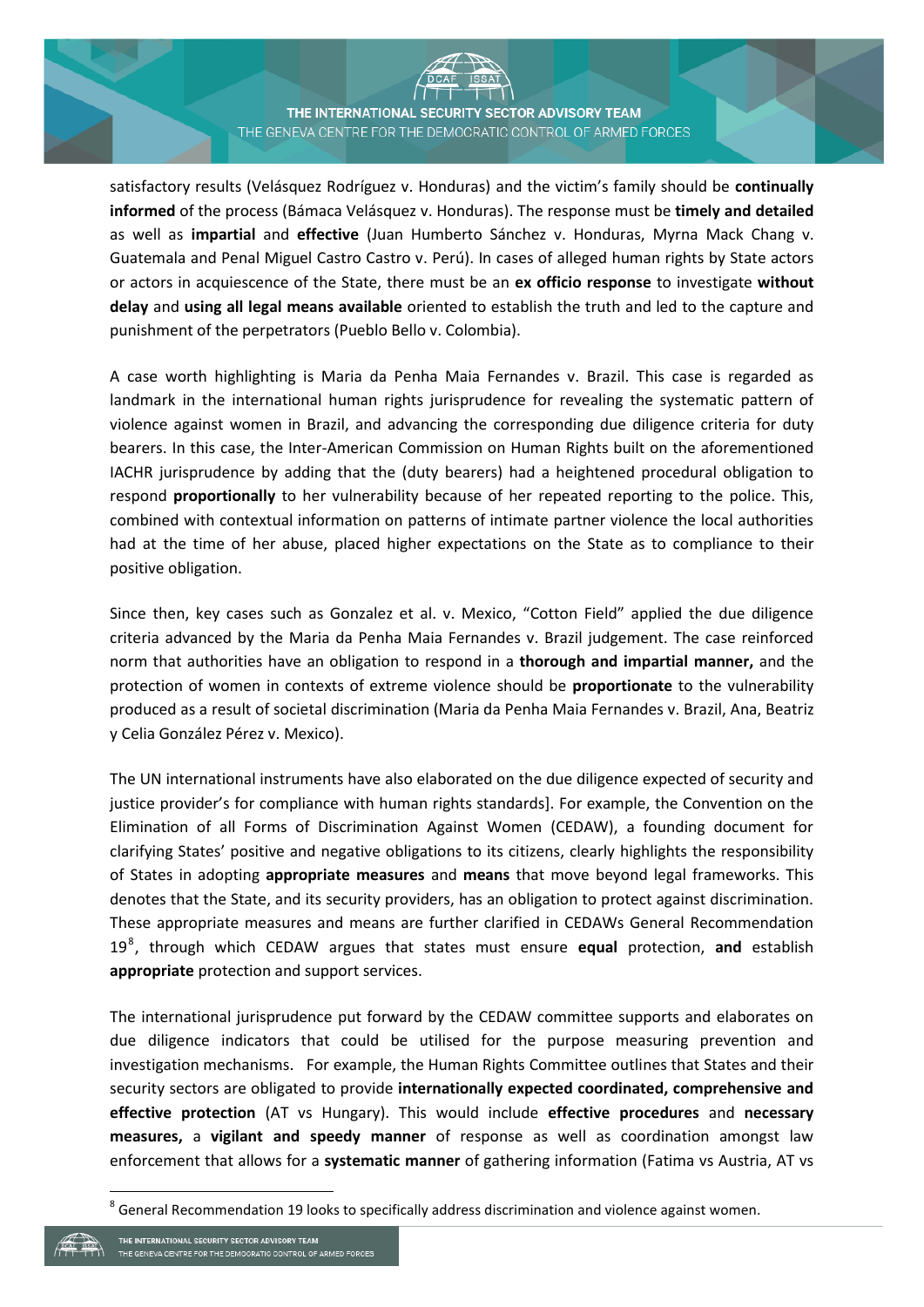THE INTERNATIONAL SECURITY SECTOR ADVISORY TEAM THE GENEVA CENTRE FOR THE DEMOCRATIC CONTROL OF ARMED FORCES

satisfactory results (Velásquez Rodríguez v. Honduras) and the victim's family should be **continually informed** of the process (Bámaca Velásquez v. Honduras). The response must be **timely and detailed**  as well as **impartial** and **effective** (Juan Humberto Sánchez v. Honduras, Myrna Mack Chang v. Guatemala and Penal Miguel Castro Castro v. Perú). In cases of alleged human rights by State actors or actors in acquiescence of the State, there must be an **ex officio response** to investigate **without delay** and **using all legal means available** oriented to establish the truth and led to the capture and punishment of the perpetrators (Pueblo Bello v. Colombia).

A case worth highlighting is Maria da Penha Maia Fernandes v. Brazil. This case is regarded as landmark in the international human rights jurisprudence for revealing the systematic pattern of violence against women in Brazil, and advancing the corresponding due diligence criteria for duty bearers. In this case, the Inter-American Commission on Human Rights built on the aforementioned IACHR jurisprudence by adding that the (duty bearers) had a heightened procedural obligation to respond **proportionally** to her vulnerability because of her repeated reporting to the police. This, combined with contextual information on patterns of intimate partner violence the local authorities had at the time of her abuse, placed higher expectations on the State as to compliance to their positive obligation.

Since then, key cases such as Gonzalez et al. v. Mexico, "Cotton Field" applied the due diligence criteria advanced by the Maria da Penha Maia Fernandes v. Brazil judgement. The case reinforced norm that authorities have an obligation to respond in a **thorough and impartial manner,** and the protection of women in contexts of extreme violence should be **proportionate** to the vulnerability produced as a result of societal discrimination (Maria da Penha Maia Fernandes v. Brazil, Ana, Beatriz y Celia González Pérez v. Mexico).

The UN international instruments have also elaborated on the due diligence expected of security and justice provider's for compliance with human rights standards]. For example, the Convention on the Elimination of all Forms of Discrimination Against Women (CEDAW), a founding document for clarifying States' positive and negative obligations to its citizens, clearly highlights the responsibility of States in adopting **appropriate measures** and **means** that move beyond legal frameworks. This denotes that the State, and its security providers, has an obligation to protect against discrimination. These appropriate measures and means are further clarified in CEDAWs General Recommendation 19<sup>8</sup> , through which CEDAW argues that states must ensure **equal** protection, **and** establish **appropriate** protection and support services.

The international jurisprudence put forward by the CEDAW committee supports and elaborates on due diligence indicators that could be utilised for the purpose measuring prevention and investigation mechanisms. For example, the Human Rights Committee outlines that States and their security sectors are obligated to provide **internationally expected coordinated, comprehensive and effective protection** (AT vs Hungary). This would include **effective procedures** and **necessary measures,** a **vigilant and speedy manner** of response as well as coordination amongst law enforcement that allows for a **systematic manner** of gathering information (Fatima vs Austria, AT vs

1

 $^8$  General Recommendation 19 looks to specifically address discrimination and violence against women.